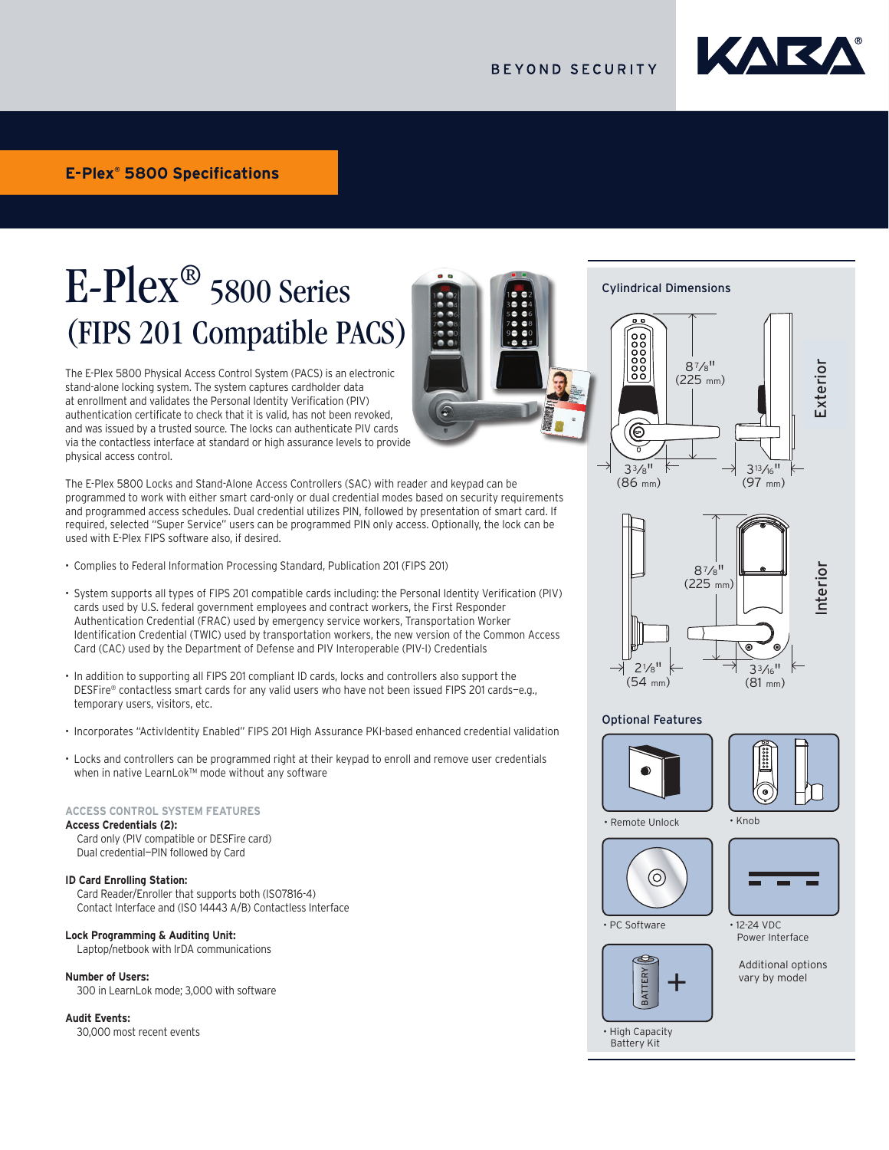

# E-Plex® 5800 Series (FIPS 201 Compatible PACS)

E-Plex® 5700 Cylindrical

Specification Sheet

The E-Plex 5800 Physical Access Control System (PACS) is an electronic stand-alone locking system. The system captures cardholder data at enrollment and validates the Personal Identity Verification (PIV) authentication certificate to check that it is valid, has not been revoked, authentication certificate to check that it is valid, has not been revoked,<br>and was issued by a trusted source. The locks can authenticate PIV cards via the contactless interface at standard or high assurance levels to provide physical access control. require credit and convenience requirements based on security and convenience requirements of  $\mu$ 

The E-Plex 5800 Locks and Stand-Alone Access Controllers (SAC) with reader and keypad can be The E-Plex Souu Lucks and Stand-Alone Access Controllers (SAC) with reader and keypad can be<br>programmed to work with either smart card-only or dual credential modes based on security requirements programmed to work with either smart card only or dual credential modes based on security requirements<br>and programmed access schedules. Dual credential utilizes PIN, followed by presentation of smart card. If and programmed access senedates. Daareredential diffizes int, followed by presentation or sinart card. If<br>required, selected "Super Service" users can be programmed PIN only access. Optionally, the lock can be required, sciected "Super Service" users can be programmed I in only access. Opnominy, the lock can be<br>used with E-Plex FIPS software also, if desired.  $P$  aconcard only  $P$ 

- Complies to Federal Information Processing Standard, Publication 201 (FIPS 201)
- .<br>• System supports all types of FIPS 201 compatible cards including: the Personal Identity Verification (PIV) of stem supports an types of this 201 companie cards including, the Fersonal luchtity verification (FTV)<br>cards used by U.S. federal government employees and contract workers, the First Responder cards doed by O.S. reacter government emproyees and contract moners, the most responder<br>Authentication Credential (FRAC) used by emergency service workers, Transportation Worker Identification Credential (TWIC) used by transportation workers, the new version of the Common Access Card (CAC) used by the Department of Defense and PIV Interoperable (PIV-I) Credentials
- In addition to supporting all FIPS 201 compliant ID cards, locks and controllers also support the m ddanton to supporting an information because to cards, locks and controllers also support the<br>DESFire® contactless smart cards for any valid users who have not been issued FIPS 201 cards-e.g., temporary users, visitors, etc. **Handing**: Non-handed, pre-assembled for left hand door installations - easily re as for any rand doors mis have not been looded in secondaries slight
- ncorporates "ActivIdentity Enabled" FIPS 201 High Assurance PKI-based enhanced credential validation •
- .<br>• Locks and controllers can be programmed right at their keypad to enroll and remove user credentials when in native LearnLok™ mode without any software rogrammed right at their iteypad to em on and remove aber eredentials.<br>Io without any coffware ogrammed right at their keypad to e  $A$ uthority Levelsian allow whose allow you that you to control who has access to specificate who has access to specificate who has a control with  $\alpha$

#### **ACCESS CONTROL SYSTEM FEATURES Passage Options**: First manager in (or privileged user) Automatically according to access schedules **Service codes – programmed for one time access or "come and "come and "come and "come and "come and "come and "come and "come and "come and "come and "come and "come and "come and "come and "come and "come and "come and "**

**Access Credentials (2):** cess credentials (z):<br>Card only (PIV compatible or DESFire card) Dual credential-PIN followed by Card **Guest management** – access for temporary users experience in the second from  $\mathcal{L}$ to 365 days and 365 days are also 365 days are also 365 days are also 365 days are also 365 days are also 365

# **ID Card Enrolling Station:**

out a unit simily dealer...<br>Card Reader/Enroller that supports both (ISO7816-4) Contact Interface and (ISO 14443 A/B) Contactless Interface  $\frac{d}{dx}$ 

#### Lock Programming & Auditing Unit: Battery of easy of easy of easy of easy of easy of easy of easy of easy of eas

**CR Programming & Additing Ont:**<br>Laptop/netbook with IrDA communications  $A_n$  and  $A_n$  invariant  $\overline{A}$  to 9 invariant attempts with an  $\overline{A}$  invariant attempts with an  $\overline{A}$ 

#### **Number of Users:**

<sub>nnas</sub>e of a seconds<br>300 in LearnLok mode; 3,000 with software

#### **Audit Events:**

30,000 most recent events

Cylindrical Dimensions ..............<br><del>- ^</del>

**Dimensions**





#### Optional Features





• Remote Unlock





• PC Software

 $\overline{\phantom{a}}$  Powe External<br>Battery Kit<br>Battery Kit +

Additional options vary by model Power Interface

• High Capacity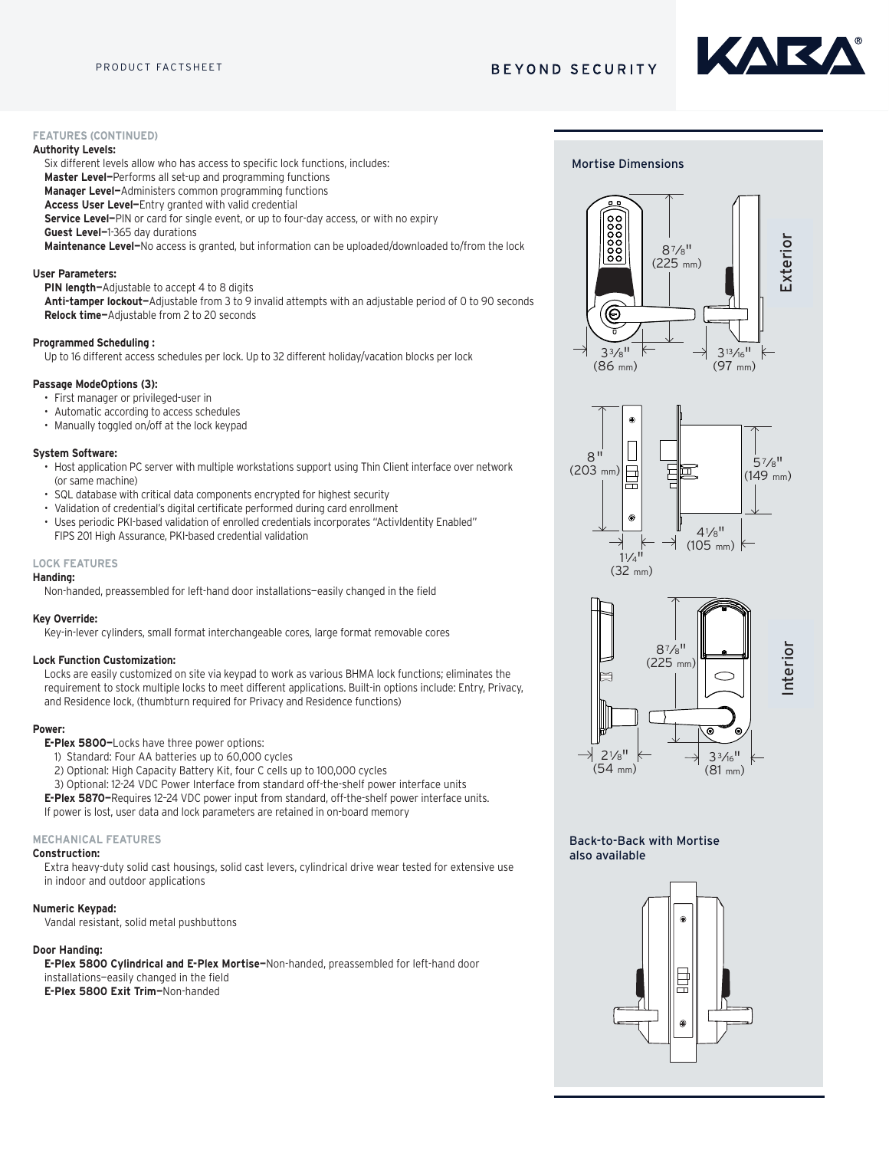# **BEYOND SECURITY**

# KARK.

## **FEATURES (CONTINUED)**

#### **Authority Levels:**

Six different levels allow who has access to specific lock functions, includes:

**Master Level—**Performs all set-up and programming functions

**Manager Level—**Administers common programming functions

**Access User Level—**Entry granted with valid credential

**Service Level—**PIN or card for single event, or up to four-day access, or with no expiry

**Guest Level—**1-365 day durations

**Maintenance Level—**No access is granted, but information can be uploaded/downloaded to/from the lock

#### **User Parameters:**

**PIN length—**Adjustable to accept 4 to 8 digits

**Anti-tamper lockout—**Adjustable from 3 to 9 invalid attempts with an adjustable period of 0 to 90 seconds **Relock time—**Adjustable from 2 to 20 seconds

#### **Programmed Scheduling :**

Up to 16 different access schedules per lock. Up to 32 different holiday/vacation blocks per lock

# Passage ModeOptions (3):

- **•** First manager or privileged-user in **Access Controlleries** with dual credential capability PIN and *Leagued* PIN and *Leagued* PIN and *Leagued* PIN and *Leagued* PIN and *Leagued* PIN and *Leagued* PIN a
- Automatic according to access schedules **Example 26 to 84 and 26 and 26 and 26 and 26 and 26 and 26 and 26 and 26 and 26 and 26 and 26 and 26 and 26 and 26 and 26 and 26 and 26 and 26 and 26 and 26 and 26 and 26 and 26 a**
- Manually toggled on/off at the lock keypad

#### **System Software:**

- stem Sottware:<br>• Host application PC server with multiple workstations support using Thin Client interface over network (or same machine) nuitiple workstation
- **•** SQL database with critical data components encrypted for highest security
- Validation of credential's digital certificate performed during card enrollment
- **•** Uses periodic PKI-based validation of enrolled credentials incorporates "ActivIdentity Enabled" FIPS 201 High Assurance, PKI-based credential validation

#### **LOCK FEATURES Programming**: Locks are programmed via E-Plex Advanced Access Control

### **Handing:**

..........<br>Non-handed, preassembled for left-hand door installations—easily changed in the field  $m_{\rm H}$  management of doors and users and users and users are  $m_{\rm H}$ 

#### **Key Override: Built-In** Local are easily customized on site via keypad to work as various customized on site via key pad to work as various customized on site via key as various customized on site via key as various customized on  $\mathcal{$

Key-in-lever cylinders, small format interchangeable cores, large format removable cores

#### **Lock Function Customization:**

Locks are easily customized on site via keypad to work as various BHMA lock functions; eliminates the **Handing**: Non-handed, pre-assembled for left hand door installations - easily requirement to stock multiple locks to meet different applications. Built-in options include: Entry, Privacy,<br>Changed in the field of the field of the field of the field of the field of the field of the field of the field and Residence lock, (thumbturn required for Privacy and Residence functions) **Scheduling**: Access schedules Up to 16 different access schedules may be

#### **Power:**

**E-Plex 5800-**Locks have three power options:

- 1) Standard: Four AA batteries up to 60,000 cycles
- 2) Optional: High Capacity Battery Kit, four C cells up to 100,000 cycles
- 3) Optional: 12-24 VDC Power Interface from standard off-the-shelf power interface units

**E-Plex 5870-**Requires 12-24 VDC power input from standard, off-the-shelf power interface units. If power is lost, user data and lock parameters are retained in on-board memory

#### **MECHANICAL FEATURES**

#### **Construction:**

................<br>Extra heavy-duty solid cast housings, solid cast levers, cylindrical drive wear tested for extensive use in indoor and outdoor applications **Guest management** – access for temporary users expiring from

#### **Numeric Keypad: Code length Adjustable to accept 4 to 8 digits Adjustable to Adjustable to 8 digits 4 to 8 digits 4 to 8 digits Adjustable to 8 digits Adjustable to 8 digits Adjustable to 8 digits Adjustable to 8 digits A**

Vandal resistant, solid metal pushbuttons with a store attempts with a store from 3 to 9 invalid attempts with a

#### **Door Handing:**

**or Handing:**<br>**E-Plex 5800 Cylindrical and E-Plex Mortise–**Non-handed, preassembled for left-hand door installations—easily changed in the field **E-Plex 5800 Exit Trim—**Non-handed **Battery Operation operations: Battery operations** in interior housing cover; of the finance does battery replacements for institutions (Four AA Alkaline batteries  $p_{\text{infinite}}$ 

# Mortise Dimensions **Dimensions**







# nterior

# Back-to-Back with Mortise also available

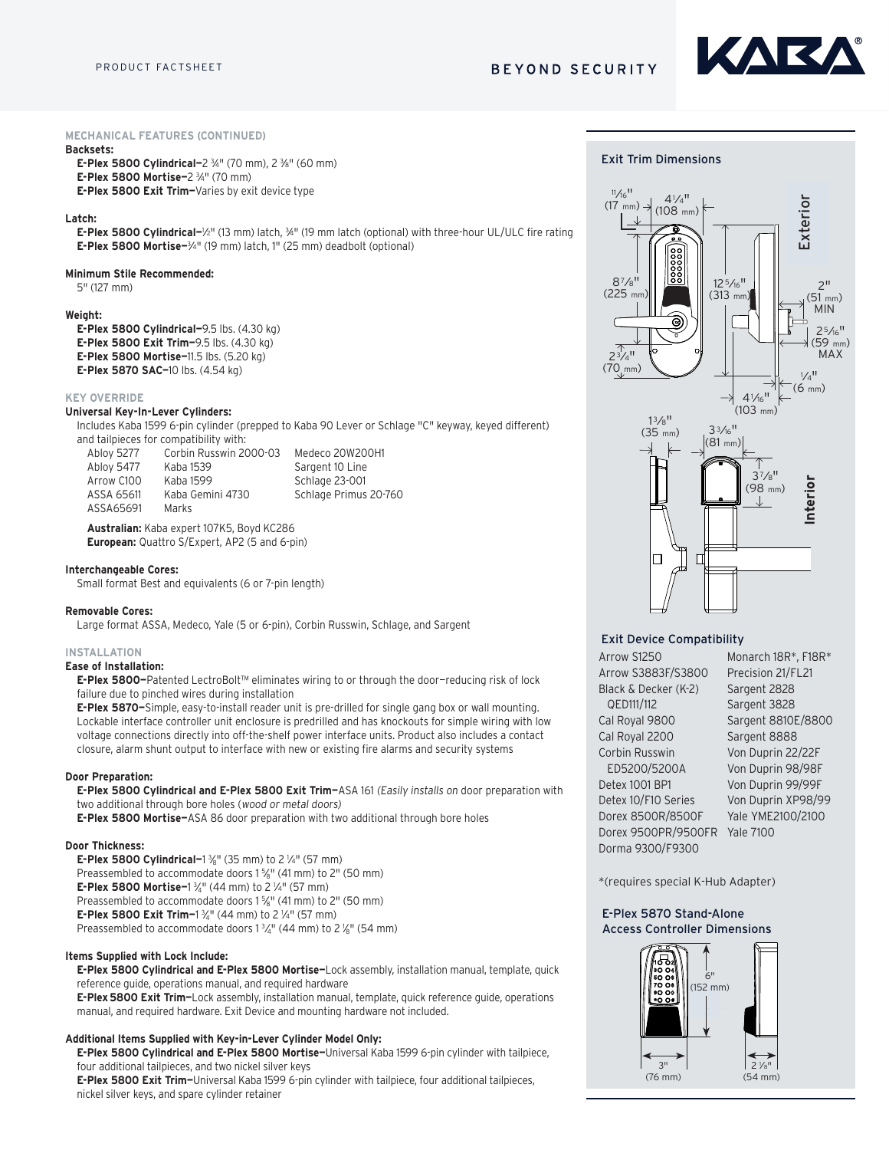

#### **MECHANICAL FEATURES (CONTINUED)**

#### **Backsets:**

**E-Plex 5800 Cylindrical-2 34" (70 mm), 2 36" (60 mm) E-Plex 5800 Mortise—**2 3 ⁄4" (70 mm) **E-Plex 5800 Exit Trim—**Varies by exit device type

#### **Latch:**

**E-Plex 5800 Cylindrical–1/2"** (13 mm) latch, ¾" (19 mm latch (optional) with three-hour UL/ULC fire rating **E-Plex 5800 Mortise-**<sup>3</sup>/4" (19 mm) latch, 1" (25 mm) deadbolt (optional)

#### **Minimum Stile Recommended:**

5" (127 mm)

#### **Weight:**

**E-Plex 5800 Cylindrical—**9.5 lbs. (4.30 kg) **E-Plex 5800 Exit Trim–**9.5 lbs. (4.30 kg) **E-Plex 5800 Mortise-11.5 lbs. (5.20 kg) E-Plex 5870 SAC—**10 lbs. (4.54 kg) **Access Controls: Electronic pushbut to local credential credential credential credential credential control control control control control control control control control control control control control control control c Access Controls: Electronic pushbut to pushed with dual credential credential credential credential control control control capability (and in an option of the credential control control control control control control co** 

#### **KEY OVERRIDE**

#### **Universal Key-In-Lever Cylinders:**

**ilversal Rey-In-Lever Cylinders:**<br>Includes Kaba 1599 6-pin cylinder (prepped to Kaba 90 Lever or Schlage "C" keyway, keyed different) and tailpieces for compatibility with: and talipieces for compatibility with:<br>Abloy 5277 Corbin Russwin 2000-03 Medeco 20W200H1 led to Kaba 90 <mark>L</mark> Fro Kapa 90 Leve

| Ablov 5277 | Corbin Russwin 2000-03 | Medeco 20W200H1       |
|------------|------------------------|-----------------------|
| Ablov 5477 | Kaba 1539              | Sargent 10 Line       |
| Arrow C100 | Kaba 1599              | Schlage 23-001        |
| ASSA 65611 | Kaba Gemini 4730       | Schlage Primus 20-760 |
| ASSA65691  | Marks                  |                       |

**Australian:** Kaba expert 107K5, Boyd KC286 **European:** Quattro S/Expert, AP2 (5 and 6-pin)

#### **Interchangeable Cores: Programming**: Local Access are programmed via E-Plex Advanced Access Access Control Access Control Access Control Access Control Access Access Access Access Access Access Access Access Access Access Access Access Access A

Small format Best and equivalents (6 or 7-pin length)

#### **Removable Cores:**

**movable Cores:**<br>Large format ASSA, Medeco, Yale (5 or 6-pin), Corbin Russwin, Schlage, and Sargent Scheduling in access schedule schedules in the sense of the sense of the sense of the top in the sense of the sense of the sense of the sense of the sense of the sense of the sense of the sense of the sense of the sense of **SCA Modern Vale (Engl. dig) Captin Durantin Catilans and Cappart** programmed into the local group

#### **INSTALLATION**

#### **Ease of Installation:**

s<del>e or mstanation.</del><br>**E-Plex 5800–**Patented LectroBolt™ eliminates wiring to or through the door–reducing risk of lock failure due to pinched wires during installation Automatic animager according to access schedule schedules.<br>Allohion

randre due to pinenca whes daring instandron.<br>**E-Plex 5870–**Simple, easy-to-install reader unit is pre-drilled for single gang box or wall mounting. Lockable interface controller unit enclosure is predrilled and has knockouts for simple wiring with low voltage connections directly into off-the-shelf power interface units. Product also includes a contact closure, alarm shunt output to interface with new or existing fire alarms and security systems go" access for 1 to 24 hours

#### **Door Preparation:**

**E-Plex 5800 Cylindrical and E-Plex 5800 Exit Trim–**ASA 161 (*Easily installs on* door preparation with two additional through bore holes (wood or metal doors)<br>two additional through bore holes (wood or metal doors)

**E-Plex 5800 Mortise-**ASA 86 door preparation with two additional through bore holes

#### **Door Thickness:**

**E-Plex 5800 Cylindrical-1**  $\frac{3}{6}$ " (35 mm) to 2  $\frac{1}{4}$ " (57 mm) Preassembled to accommodate doors 1 %" (41 mm) to 2" (50 mm) **E-Plex 5800 Mortise–1**  $\frac{3}{4}$ " (44 mm) to 2  $\frac{1}{4}$ " (57 mm) Preassembled to accommodate doors 1  $\frac{5}{6}$ " (41 mm) to 2" (50 mm) **E-Plex 5800 Exit Trim−**1 ¾" (44 mm) to 2 ¼" (57 mm) Preassembled to accommodate doors  $1\frac{3}{4}$ " (44 mm) to 2  $\frac{1}{8}$ " (54 mm)

#### **Items Supplied with Lock Include:**

**E-Plex 5800 Cylindrical and E-Plex 5800 Mortise—**Lock assembly, installation manual, template, quick reference guide, operations manual, and required hardware

**E-Plex5800 Exit Trim—**Lock assembly, installation manual, template, quick reference guide, operations manual, and required hardware. Exit Device and mounting hardware not included.

#### **Additional Items Supplied with Key-in-Lever Cylinder Model Only:**

**E-Plex 5800 Cylindrical and E-Plex 5800 Mortise—**Universal Kaba 1599 6-pin cylinder with tailpiece, four additional tailpieces, and two nickel silver keys

**E-Plex 5800 Exit Trim—**Universal Kaba 1599 6-pin cylinder with tailpiece, four additional tailpieces, nickel silver keys, and spare cylinder retainer





#### Exit Device Compatibility

**Exit Device Conce WOTIP**  $\overline{O}$ FD<sub>111</sub>/112  $QCDIII/IIZ$ Cal Royal 9800 Cal Royal 2200 Corbin Russwin  $FDE200/5200$ Monarch 18R / F-18R Detex 1001 BP1  $\frac{3828}{8}$ Sargent 3828 Sargent 8800 Sargent 3828 **Exit Device Compatibility** Arrow S3883F/S3800 Black & Decker (K-2) Arrow S3800 QED111/112 ED5200/5200A Arrow S1250 Detex 10/F10 Series Dorex 8500R/8500F Dorex 9500PR/9500FR Yale 7100 Dorma 9300/F9300

Sargent 8800 Sargent 8888 Sargent 8810E/8800 Sargent 8888 Von Duprin 22/22F Von Duprin 99/99  $\frac{1}{2}$  von Duprin 99, 99 Von Duprin 99/99F Cargont 202 Sargent 3828 Sargent 2828 Von Duprin 98/98F Monarch 18R\*, F18R\* Precision 21/FL21 Von Duprin XP98/99 Yale YME2100/2100

\*(requires special K-Hub Adapter)

#### E-Plex 5870 Stand-Alone Access Controller Dimensions